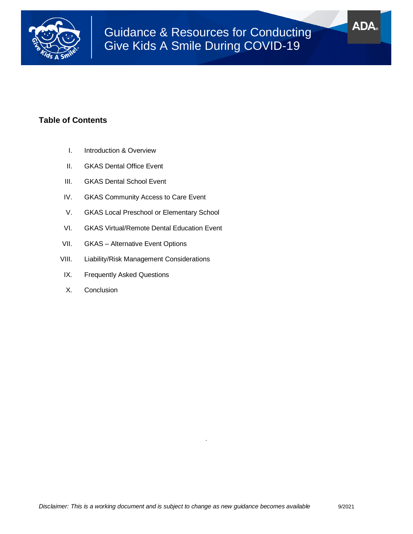

# **ADA**

# **Table of Contents**

- I. Introduction & Overview
- II. GKAS Dental Office Event
- III. GKAS Dental School Event
- IV. GKAS Community Access to Care Event
- V. GKAS Local Preschool or Elementary School
- VI. GKAS Virtual/Remote Dental Education Event
- VII. GKAS Alternative Event Options
- VIII. Liability/Risk Management Considerations
- IX. Frequently Asked Questions
- X. Conclusion

*.*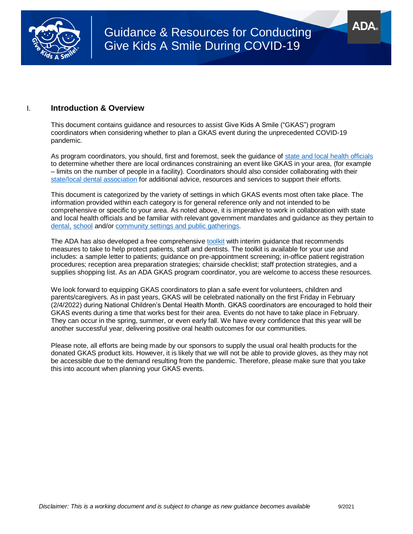

### I. **Introduction & Overview**

This document contains guidance and resources to assist Give Kids A Smile ("GKAS") program coordinators when considering whether to plan a GKAS event during the unprecedented COVID-19 pandemic.

As program coordinators, you should, first and foremost, seek the guidance of [state and local health officials](https://www.cdc.gov/publichealthgateway/healthdirectories/index.html) to determine whether there are local ordinances constraining an event like GKAS in your area, (for example – limits on the number of people in a facility). Coordinators should also consider collaborating with their [state/local dental association](https://ebusiness.ada.org/mystate.aspx) for additional advice, resources and services to support their efforts.

This document is categorized by the variety of settings in which GKAS events most often take place. The information provided within each category is for general reference only and not intended to be comprehensive or specific to your area. As noted above, it is imperative to work in collaboration with state and local health officials and be familiar with relevant government mandates and guidance as they pertain to [dental,](https://www.cdc.gov/coronavirus/2019-ncov/hcp/dental-settings.html) [school](https://www.cdc.gov/coronavirus/2019-ncov/community/schools-childcare/index.html) and/or [community settings and public gatherings.](https://www.cdc.gov/coronavirus/2019-ncov/communication/guidance.html)

The ADA has also developed a free comprehensive [toolkit](https://success.ada.org/~/media/CPS/Files/Open%20Files/ADA_Return_to_Work_Toolkit.pdf?_ga=2.196469484.1942036177.1602521773-1128008244.1532442175) with interim guidance that recommends measures to take to help protect patients, staff and dentists. The toolkit is available for your use and includes: a sample letter to patients; guidance on pre-appointment screening; in-office patient registration procedures; reception area preparation strategies; chairside checklist; staff protection strategies, and a supplies shopping list. As an ADA GKAS program coordinator, you are welcome to access these resources.

We look forward to equipping GKAS coordinators to plan a safe event for volunteers, children and parents/caregivers. As in past years, GKAS will be celebrated nationally on the first Friday in February (2/4/2022) during National Children's Dental Health Month. GKAS coordinators are encouraged to hold their GKAS events during a time that works best for their area. Events do not have to take place in February. They can occur in the spring, summer, or even early fall. We have every confidence that this year will be another successful year, delivering positive oral health outcomes for our communities.

Please note, all efforts are being made by our sponsors to supply the usual oral health products for the donated GKAS product kits. However, it is likely that we will not be able to provide gloves, as they may not be accessible due to the demand resulting from the pandemic. Therefore, please make sure that you take this into account when planning your GKAS events.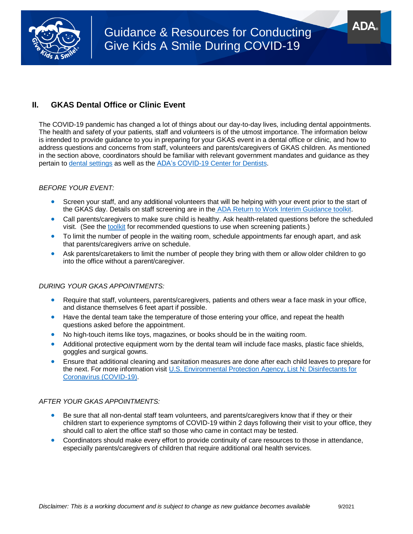

# Guidance & Resources for Conducting Give Kids A Smile During COVID-19

# **II. GKAS Dental Office or Clinic Event**

The COVID-19 pandemic has changed a lot of things about our day-to-day lives, including dental appointments. The health and safety of your patients, staff and volunteers is of the utmost importance. The information below is intended to provide guidance to you in preparing for your GKAS event in a dental office or clinic, and how to address questions and concerns from staff, volunteers and parents/caregivers of GKAS children. As mentioned in the section above, coordinators should be familiar with relevant government mandates and guidance as they pertain to [dental settings](https://www.cdc.gov/coronavirus/2019-ncov/hcp/dental-settings.html) as well as th[e ADA's COVID-19 Center for Dentists.](https://success.ada.org/en/practice-management/patients/infectious-diseases-2019-novel-coronavirus?utm_source=adaorg&utm_medium=globalheader&utm_content=coronavirus&utm_campaign=covid-19)

#### *BEFORE YOUR EVENT:*

- Screen your staff, and any additional volunteers that will be helping with your event prior to the start of the GKAS day. Details on staff screening are in the [ADA Return to Work Interim Guidance toolkit.](https://success.ada.org/~/media/CPS/Files/Open%20Files/ADA_Return_to_Work_Toolkit.pdf?_ga=2.102747841.1942036177.1602521773-1128008244.1532442175)
- Call parents/caregivers to make sure child is healthy. Ask health-related questions before the scheduled visit. (See th[e toolkit](https://success.ada.org/~/media/CPS/Files/Open%20Files/ADA_Return_to_Work_Toolkit.pdf?_ga=2.102747841.1942036177.1602521773-1128008244.1532442175) for recommended questions to use when screening patients.)
- To limit the number of people in the waiting room, schedule appointments far enough apart, and ask that parents/caregivers arrive on schedule.
- Ask parents/caretakers to limit the number of people they bring with them or allow older children to go into the office without a parent/caregiver.

#### *DURING YOUR GKAS APPOINTMENTS:*

- Require that staff, volunteers, parents/caregivers, patients and others wear a face mask in your office, and distance themselves 6 feet apart if possible.
- Have the dental team take the temperature of those entering your office, and repeat the health questions asked before the appointment.
- No high-touch items like toys, magazines, or books should be in the waiting room.
- Additional protective equipment worn by the dental team will include face masks, plastic face shields, goggles and surgical gowns.
- Ensure that additional cleaning and sanitation measures are done after each child leaves to prepare for the next. For more information visit [U.S. Environmental Protection Agency, List N: Disinfectants for](https://www.epa.gov/pesticide-registration/list-n-disinfectants-coronavirus-covid-19)  [Coronavirus \(COVID-19\).](https://www.epa.gov/pesticide-registration/list-n-disinfectants-coronavirus-covid-19)

#### *AFTER YOUR GKAS APPOINTMENTS:*

- Be sure that all non-dental staff team volunteers, and parents/caregivers know that if they or their children start to experience symptoms of COVID-19 within 2 days following their visit to your office, they should call to alert the office staff so those who came in contact may be tested.
- Coordinators should make every effort to provide continuity of care resources to those in attendance, especially parents/caregivers of children that require additional oral health services.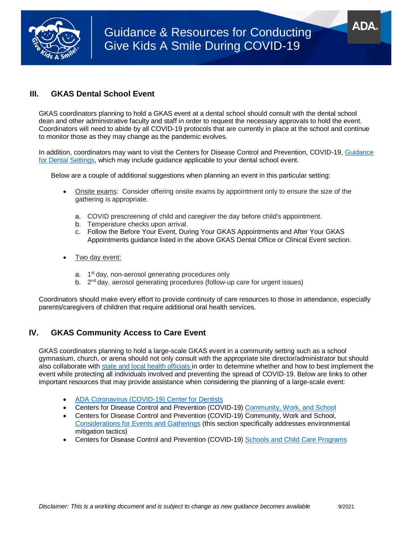

# **III. GKAS Dental School Event**

GKAS coordinators planning to hold a GKAS event at a dental school should consult with the dental school dean and other administrative faculty and staff in order to request the necessary approvals to hold the event. Coordinators will need to abide by all COVID-19 protocols that are currently in place at the school and continue to monitor those as they may change as the pandemic evolves.

In addition, coordinators may want to visit the Centers for Disease Control and Prevention, COVID-19, [Guidance](https://www.cdc.gov/coronavirus/2019-ncov/hcp/dental-settings.html)  [for Dental Settings,](https://www.cdc.gov/coronavirus/2019-ncov/hcp/dental-settings.html) which may include guidance applicable to your dental school event.

Below are a couple of additional suggestions when planning an event in this particular setting:

- Onsite exams: Consider offering onsite exams by appointment only to ensure the size of the gathering is appropriate.
	- a. COVID prescreening of child and caregiver the day before child's appointment.
	- b. Temperature checks upon arrival.
	- c. Follow the Before Your Event, During Your GKAS Appointments and After Your GKAS Appointments guidance listed in the above GKAS Dental Office or Clinical Event section.
- Two day event:
	- a. 1<sup>st</sup> day, non-aerosol generating procedures only
	- b. 2<sup>nd</sup> day, aerosol generating procedures (follow-up care for urgent issues)

Coordinators should make every effort to provide continuity of care resources to those in attendance, especially parents/caregivers of children that require additional oral health services.

# **IV. GKAS Community Access to Care Event**

GKAS coordinators planning to hold a large-scale GKAS event in a community setting such as a school gymnasium, church, or arena should not only consult with the appropriate site director/administrator but should also collaborate with [state and local health officials](https://www.cdc.gov/publichealthgateway/healthdirectories/index.html) in order to determine whether and how to best implement the event while protecting all individuals involved and preventing the spread of COVID-19. Below are links to other important resources that may provide assistance when considering the planning of a large-scale event:

- [ADA Coronavirus \(COVID-19\) Center for Dentists](https://success.ada.org/en/practice-management/patients/infectious-diseases-2019-novel-coronavirus?utm_source=adaorg&utm_medium=globalheader&utm_content=coronavirus&utm_campaign=covid-19)
- Centers for Disease Control and Prevention (COVID-19) [Community, Work, and School](https://www.cdc.gov/coronavirus/2019-ncov/community/index.html)
- Centers for Disease Control and Prevention (COVID-19) Community, Work and School, [Considerations for Events and Gatherings](https://www.cdc.gov/coronavirus/2019-ncov/community/large-events/considerations-for-events-gatherings.html) (this section specifically addresses environmental mitigation tactics)
- Centers for Disease Control and Prevention (COVID-19) [Schools and Child Care Programs](https://www.cdc.gov/coronavirus/2019-ncov/community/schools-childcare/index.html)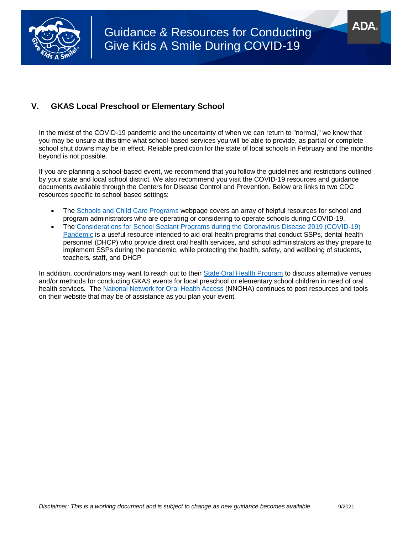

## **V. GKAS Local Preschool or Elementary School**

In the midst of the COVID-19 pandemic and the uncertainty of when we can return to "normal," we know that you may be unsure at this time what school-based services you will be able to provide, as partial or complete school shut downs may be in effect. Reliable prediction for the state of local schools in February and the months beyond is not possible.

If you are planning a school-based event, we recommend that you follow the guidelines and restrictions outlined by your state and local school district. We also recommend you visit the COVID-19 resources and guidance documents available through the Centers for Disease Control and Prevention. Below are links to two CDC resources specific to school based settings:

- The [Schools and Child Care Programs](https://www.cdc.gov/coronavirus/2019-ncov/community/schools-childcare/index.html) webpage covers an array of helpful resources for school and program administrators who are operating or considering to operate schools during COVID-19.
- The [Considerations for School Sealant Programs during the Coronavirus Disease 2019 \(COVID-19\)](https://www.cdc.gov/oralhealth/dental_sealant_program/school-sealant-programs-considerations-during-COVID-19.html)  [Pandemic](https://www.cdc.gov/oralhealth/dental_sealant_program/school-sealant-programs-considerations-during-COVID-19.html) is a useful resource intended to aid oral health programs that conduct SSPs, dental health personnel (DHCP) who provide direct oral health services, and school administrators as they prepare to implement SSPs during the pandemic, while protecting the health, safety, and wellbeing of students, teachers, staff, and DHCP

In addition, coordinators may want to reach out to their [State Oral Health Program](https://www.astdd.org/state-programs/) to discuss alternative venues and/or methods for conducting GKAS events for local preschool or elementary school children in need of oral health services. Th[e National Network for Oral Health Access](https://nnoha.org/covid-19-coronavirus/covid-19-coronavirus-resources/) (NNOHA) continues to post resources and tools on their website that may be of assistance as you plan your event.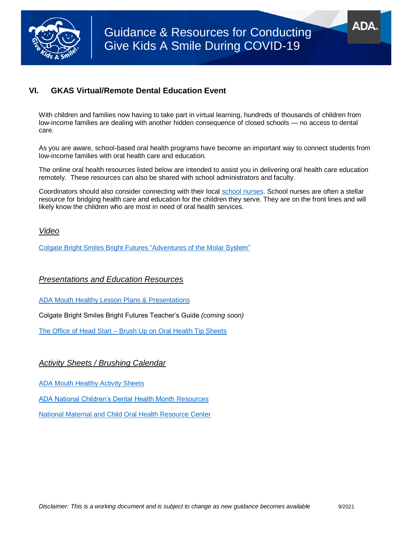

# **VI. GKAS Virtual/Remote Dental Education Event**

With children and families now having to take part in virtual learning, hundreds of thousands of children from low-income families are dealing with another hidden consequence of closed schools — no access to dental care.

As you are aware, school-based oral health programs have become an important way to connect students from low-income families with oral health care and education.

The online oral health resources listed below are intended to assist you in delivering oral health care education remotely. These resources can also be shared with school administrators and faculty.

Coordinators should also consider connecting with their local [school nurses.](https://www.nasn.org/nasn/about-nasn/affiliates) School nurses are often a stellar resource for bridging health care and education for the children they serve. They are on the front lines and will likely know the children who are most in need of oral health services.

#### *Video*

[Colgate Bright Smiles Bright Futures "Adventures of the Molar System"](https://www.youtube.com/watch?v=9t1BDCh0L_k&list=PLLeUVLO0UtPPiS3-QEklz2wqIFN1Z3A1_&index=28&t=8s)

### *Presentations and Education Resources*

[ADA Mouth Healthy Lesson Plans & Presentations](https://www.mouthhealthy.org/en/resources/lesson-plans)

Colgate Bright Smiles Bright Futures Teacher's Guide *(coming soon)*

The Office of Head Start – [Brush Up on Oral Health Tip Sheets](https://eclkc.ohs.acf.hhs.gov/oral-health/brush-oral-health/child-oral-health)

### *Activity Sheets / Brushing Calendar*

[ADA Mouth Healthy Activity Sheets](https://www.mouthhealthy.org/en/resources/activity-sheets) 

[ADA National Children's Dental Health Month](https://www.ada.org/en/public-programs/national-childrens-dental-health-month) Resources

[National Maternal and Child Oral Health Resource Center](https://www.mchoralhealth.org/)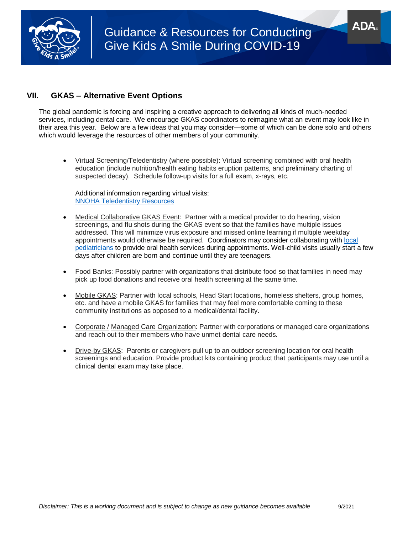

# **VII. GKAS – Alternative Event Options**

The global pandemic is forcing and inspiring a creative approach to delivering all kinds of much-needed services, including dental care. We encourage GKAS coordinators to reimagine what an event may look like in their area this year. Below are a few ideas that you may consider—some of which can be done solo and others which would leverage the resources of other members of your community.

 Virtual Screening/Teledentistry (where possible): Virtual screening combined with oral health education (include nutrition/health eating habits eruption patterns, and preliminary charting of suspected decay). Schedule follow-up visits for a full exam, x-rays, etc.

Additional information regarding virtual visits: [NNOHA Teledentistry Resources](https://nnoha.org/covid-19-coronavirus/teledentistry-resources/)

- Medical Collaborative GKAS Event: Partner with a medical provider to do hearing, vision screenings, and flu shots during the GKAS event so that the families have multiple issues addressed. This will minimize virus exposure and missed online learning if multiple weekday appointments would otherwise be required. Coordinators may consider collaborating with [local](https://www.healthychildren.org/English/tips-tools/find-pediatrician/Pages/Pediatrician-Referral-Service.aspx)  [pediatricians](https://www.healthychildren.org/English/tips-tools/find-pediatrician/Pages/Pediatrician-Referral-Service.aspx) to provide oral health services during appointments. Well-child visits usually start a few days after children are born and continue until they are teenagers.
- Food Banks: Possibly partner with organizations that distribute food so that families in need may pick up food donations and receive oral health screening at the same time.
- Mobile GKAS: Partner with local schools, Head Start locations, homeless shelters, group homes, etc. and have a mobile GKAS for families that may feel more comfortable coming to these community institutions as opposed to a medical/dental facility.
- Corporate / Managed Care Organization: Partner with corporations or managed care organizations and reach out to their members who have unmet dental care needs.
- Drive-by GKAS: Parents or caregivers pull up to an outdoor screening location for oral health screenings and education. Provide product kits containing product that participants may use until a clinical dental exam may take place.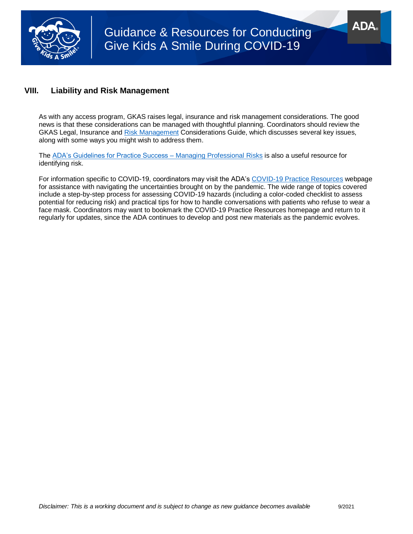

# **VIII. Liability and Risk Management**

As with any access program, GKAS raises legal, insurance and risk management considerations. The good news is that these considerations can be managed with thoughtful planning. Coordinators should review the GKAS Legal, Insurance and [Risk Management](https://www.ada.org/~/media/ADA/Public%20Programs/Files/GKAS/GKAS_TOOLBOX_Legal-Insurance-Risk-Mgmt-And_Ethics-Guide.pdf?la=en) Considerations Guide, which discusses several key issues, along with some ways you might wish to address them.

The ADA's Guidelines for Practice Success - Managing Professional Risks is also a useful resource for identifying risk.

For information specific to COVID-19, coordinators may visit the ADA's [COVID-19 Practice Resources](https://success.ada.org/en/practice-management/patients/practice-resources?utm_source=cpsorg&utm_medium=covid-cps-virus-lp&utm_content=fb-practice-resources&utm_campaign=covid-19) webpage for assistance with navigating the uncertainties brought on by the pandemic. The wide range of topics covered include a step-by-step process for assessing COVID-19 hazards (including a color-coded checklist to assess potential for reducing risk) and practical tips for how to handle conversations with patients who refuse to wear a face mask. Coordinators may want to bookmark the COVID-19 Practice Resources homepage and return to it regularly for updates, since the ADA continues to develop and post new materials as the pandemic evolves.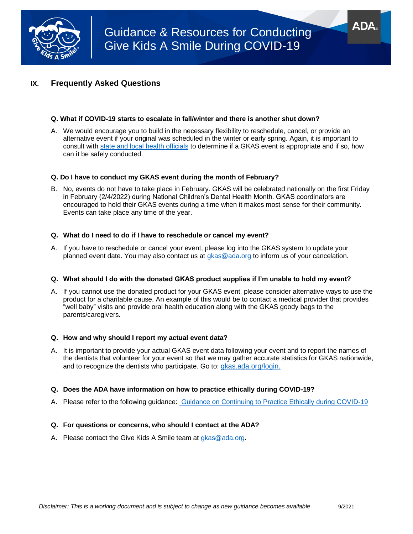

## **IX. Frequently Asked Questions**

#### **Q. What if COVID-19 starts to escalate in fall/winter and there is another shut down?**

A. We would encourage you to build in the necessary flexibility to reschedule, cancel, or provide an alternative event if your original was scheduled in the winter or early spring. Again, it is important to consult with [state and local health officials](https://www.cdc.gov/publichealthgateway/healthdirectories/index.html) to determine if a GKAS event is appropriate and if so, how can it be safely conducted.

#### **Q. Do I have to conduct my GKAS event during the month of February?**

B. No, events do not have to take place in February. GKAS will be celebrated nationally on the first Friday in February (2/4/2022) during National Children's Dental Health Month. GKAS coordinators are encouraged to hold their GKAS events during a time when it makes most sense for their community. Events can take place any time of the year.

#### **Q. What do I need to do if I have to reschedule or cancel my event?**

A. If you have to reschedule or cancel your event, please log into the GKAS system to update your planned event date. You may also contact us at [gkas@ada.org](mailto:gkas@ada.org) to inform us of your cancelation.

#### **Q. What should I do with the donated GKAS product supplies if I'm unable to hold my event?**

A. If you cannot use the donated product for your GKAS event, please consider alternative ways to use the product for a charitable cause. An example of this would be to contact a medical provider that provides "well baby" visits and provide oral health education along with the GKAS goody bags to the parents/caregivers.

#### **Q. How and why should I report my actual event data?**

A. It is important to provide your actual GKAS event data following your event and to report the names of the dentists that volunteer for your event so that we may gather accurate statistics for GKAS nationwide, and to recognize the dentists who participate. Go to: [gkas.ada.org/login.](https://gkas.ada.org/login)

#### **Q. Does the ADA have information on how to practice ethically during COVID-19?**

A. Please refer to the following guidance: [Guidance on Continuing to Practice Ethically during COVID-19](http://success.ada.org/~/media/CPS/Files/COVID/ADA_COVID_How_Do_I_Ethically_See_Patients_During_Pandemic.pdf)

#### **Q. For questions or concerns, who should I contact at the ADA?**

A. Please contact the Give Kids A Smile team at [gkas@ada.org.](mailto:gkas@ada.org)